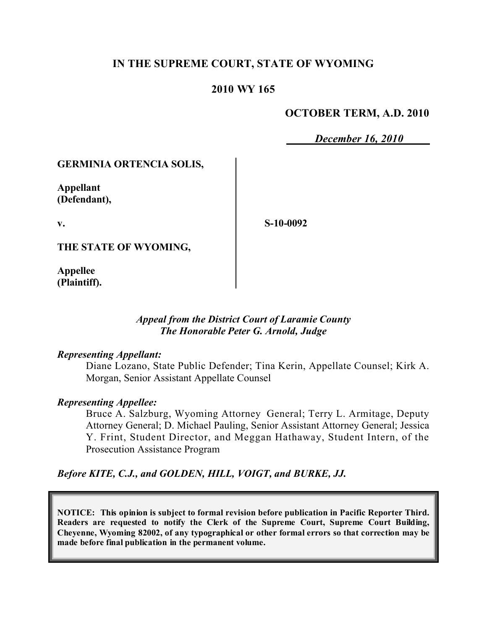# **IN THE SUPREME COURT, STATE OF WYOMING**

## **2010 WY 165**

## **OCTOBER TERM, A.D. 2010**

*December 16, 2010*

### **GERMINIA ORTENCIA SOLIS,**

**Appellant (Defendant),**

**v.**

**S-10-0092**

**THE STATE OF WYOMING,**

**Appellee (Plaintiff).**

### *Appeal from the District Court of Laramie County The Honorable Peter G. Arnold, Judge*

#### *Representing Appellant:*

Diane Lozano, State Public Defender; Tina Kerin, Appellate Counsel; Kirk A. Morgan, Senior Assistant Appellate Counsel

#### *Representing Appellee:*

Bruce A. Salzburg, Wyoming Attorney General; Terry L. Armitage, Deputy Attorney General; D. Michael Pauling, Senior Assistant Attorney General; Jessica Y. Frint, Student Director, and Meggan Hathaway, Student Intern, of the Prosecution Assistance Program

*Before KITE, C.J., and GOLDEN, HILL, VOIGT, and BURKE, JJ.*

**NOTICE: This opinion is subject to formal revision before publication in Pacific Reporter Third. Readers are requested to notify the Clerk of the Supreme Court, Supreme Court Building, Cheyenne, Wyoming 82002, of any typographical or other formal errors so that correction may be made before final publication in the permanent volume.**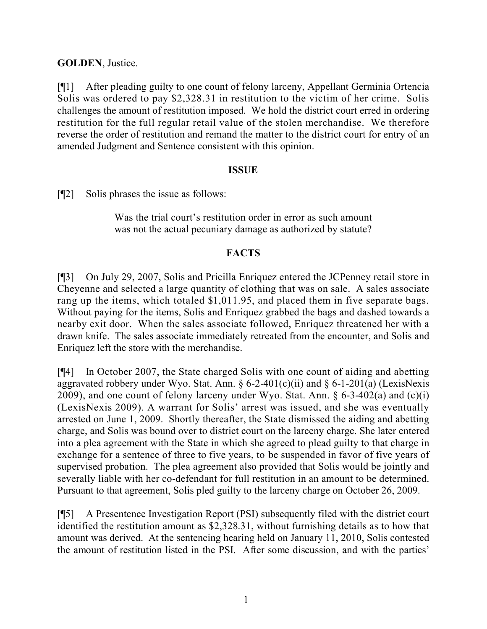**GOLDEN**, Justice.

[¶1] After pleading guilty to one count of felony larceny, Appellant Germinia Ortencia Solis was ordered to pay \$2,328.31 in restitution to the victim of her crime. Solis challenges the amount of restitution imposed. We hold the district court erred in ordering restitution for the full regular retail value of the stolen merchandise. We therefore reverse the order of restitution and remand the matter to the district court for entry of an amended Judgment and Sentence consistent with this opinion.

# **ISSUE**

[¶2] Solis phrases the issue as follows:

Was the trial court's restitution order in error as such amount was not the actual pecuniary damage as authorized by statute?

# **FACTS**

[¶3] On July 29, 2007, Solis and Pricilla Enriquez entered the JCPenney retail store in Cheyenne and selected a large quantity of clothing that was on sale. A sales associate rang up the items, which totaled \$1,011.95, and placed them in five separate bags. Without paying for the items, Solis and Enriquez grabbed the bags and dashed towards a nearby exit door. When the sales associate followed, Enriquez threatened her with a drawn knife. The sales associate immediately retreated from the encounter, and Solis and Enriquez left the store with the merchandise.

[¶4] In October 2007, the State charged Solis with one count of aiding and abetting aggravated robbery under Wyo. Stat. Ann. § 6-2-401(c)(ii) and § 6-1-201(a) (LexisNexis 2009), and one count of felony larceny under Wyo. Stat. Ann. § 6-3-402(a) and (c)(i) (LexisNexis 2009). A warrant for Solis' arrest was issued, and she was eventually arrested on June 1, 2009. Shortly thereafter, the State dismissed the aiding and abetting charge, and Solis was bound over to district court on the larceny charge. She later entered into a plea agreement with the State in which she agreed to plead guilty to that charge in exchange for a sentence of three to five years, to be suspended in favor of five years of supervised probation. The plea agreement also provided that Solis would be jointly and severally liable with her co-defendant for full restitution in an amount to be determined. Pursuant to that agreement, Solis pled guilty to the larceny charge on October 26, 2009.

[¶5] A Presentence Investigation Report (PSI) subsequently filed with the district court identified the restitution amount as \$2,328.31, without furnishing details as to how that amount was derived. At the sentencing hearing held on January 11, 2010, Solis contested the amount of restitution listed in the PSI. After some discussion, and with the parties'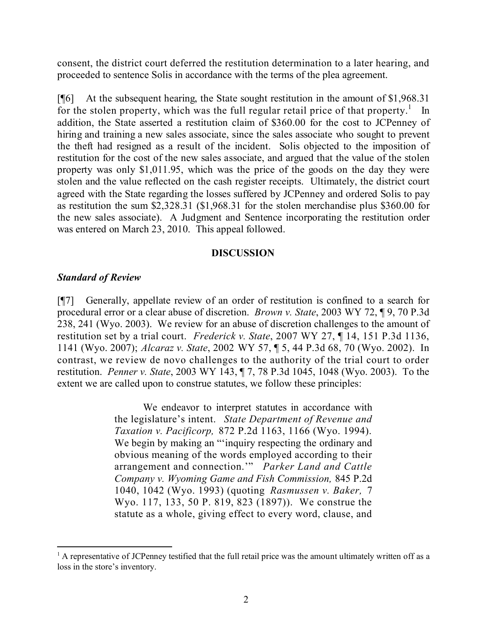consent, the district court deferred the restitution determination to a later hearing, and proceeded to sentence Solis in accordance with the terms of the plea agreement.

[¶6] At the subsequent hearing, the State sought restitution in the amount of \$1,968.31 for the stolen property, which was the full regular retail price of that property.<sup>1</sup> In addition, the State asserted a restitution claim of \$360.00 for the cost to JCPenney of hiring and training a new sales associate, since the sales associate who sought to prevent the theft had resigned as a result of the incident. Solis objected to the imposition of restitution for the cost of the new sales associate, and argued that the value of the stolen property was only \$1,011.95, which was the price of the goods on the day they were stolen and the value reflected on the cash register receipts. Ultimately, the district court agreed with the State regarding the losses suffered by JCPenney and ordered Solis to pay as restitution the sum \$2,328.31 (\$1,968.31 for the stolen merchandise plus \$360.00 for the new sales associate). A Judgment and Sentence incorporating the restitution order was entered on March 23, 2010. This appeal followed.

### **DISCUSSION**

## *Standard of Review*

[¶7] Generally, appellate review of an order of restitution is confined to a search for procedural error or a clear abuse of discretion. *Brown v. State*, 2003 WY 72, ¶ 9, 70 P.3d 238, 241 (Wyo. 2003). We review for an abuse of discretion challenges to the amount of restitution set by a trial court. *Frederick v. State*, 2007 WY 27, ¶ 14, 151 P.3d 1136, 1141 (Wyo. 2007); *Alcaraz v. State*, 2002 WY 57, ¶ 5, 44 P.3d 68, 70 (Wyo. 2002). In contrast, we review de novo challenges to the authority of the trial court to order restitution. *Penner v. State*, 2003 WY 143, ¶ 7, 78 P.3d 1045, 1048 (Wyo. 2003). To the extent we are called upon to construe statutes, we follow these principles:

> We endeavor to interpret statutes in accordance with the legislature's intent. *State Department of Revenue and Taxation v. Pacificorp,* 872 P.2d 1163, 1166 (Wyo. 1994). We begin by making an "'inquiry respecting the ordinary and obvious meaning of the words employed according to their arrangement and connection.'" *Parker Land and Cattle Company v. Wyoming Game and Fish Commission,* 845 P.2d 1040, 1042 (Wyo. 1993) (quoting *Rasmussen v. Baker,* 7 Wyo. 117, 133, 50 P. 819, 823 (1897)). We construe the statute as a whole, giving effect to every word, clause, and

 $\overline{a}$ 

<sup>&</sup>lt;sup>1</sup> A representative of JCPenney testified that the full retail price was the amount ultimately written off as a loss in the store's inventory.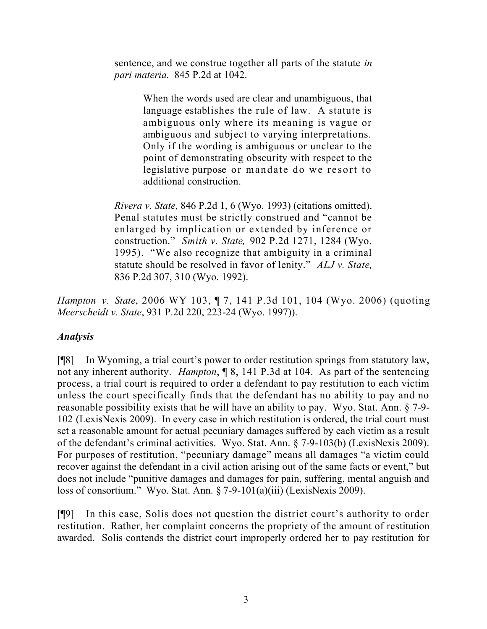sentence, and we construe together all parts of the statute *in pari materia.* 845 P.2d at 1042.

> When the words used are clear and unambiguous, that language establishes the rule of law. A statute is ambiguous only where its meaning is vague or ambiguous and subject to varying interpretations. Only if the wording is ambiguous or unclear to the point of demonstrating obscurity with respect to the legislative purpose or mandate do we resort to additional construction.

*Rivera v. State,* 846 P.2d 1, 6 (Wyo. 1993) (citations omitted). Penal statutes must be strictly construed and "cannot be enlarged by implication or extended by inference or construction." *Smith v. State,* 902 P.2d 1271, 1284 (Wyo. 1995). "We also recognize that ambiguity in a criminal statute should be resolved in favor of lenity." *ALJ v. State,* 836 P.2d 307, 310 (Wyo. 1992).

*Hampton v. State*, 2006 WY 103, ¶ 7, 141 P.3d 101, 104 (Wyo. 2006) (quoting *Meerscheidt v. State*, 931 P.2d 220, 223-24 (Wyo. 1997)).

# *Analysis*

[¶8] In Wyoming, a trial court's power to order restitution springs from statutory law, not any inherent authority. *Hampton*, ¶ 8, 141 P.3d at 104. As part of the sentencing process, a trial court is required to order a defendant to pay restitution to each victim unless the court specifically finds that the defendant has no ability to pay and no reasonable possibility exists that he will have an ability to pay. Wyo. Stat. Ann. § 7-9- 102 (LexisNexis 2009). In every case in which restitution is ordered, the trial court must set a reasonable amount for actual pecuniary damages suffered by each victim as a result of the defendant's criminal activities. Wyo. Stat. Ann. § 7-9-103(b) (LexisNexis 2009). For purposes of restitution, "pecuniary damage" means all damages "a victim could recover against the defendant in a civil action arising out of the same facts or event," but does not include "punitive damages and damages for pain, suffering, mental anguish and loss of consortium." Wyo. Stat. Ann. § 7-9-101(a)(iii) (LexisNexis 2009).

[¶9] In this case, Solis does not question the district court's authority to order restitution. Rather, her complaint concerns the propriety of the amount of restitution awarded. Solis contends the district court improperly ordered her to pay restitution for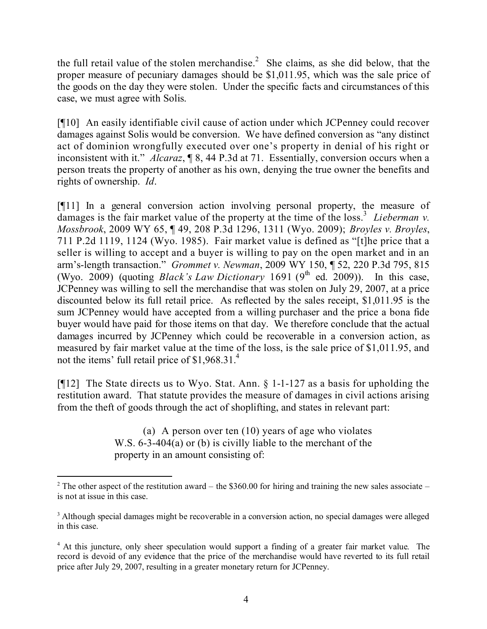the full retail value of the stolen merchandise.<sup>2</sup> She claims, as she did below, that the proper measure of pecuniary damages should be \$1,011.95, which was the sale price of the goods on the day they were stolen. Under the specific facts and circumstances of this case, we must agree with Solis.

[¶10] An easily identifiable civil cause of action under which JCPenney could recover damages against Solis would be conversion. We have defined conversion as "any distinct act of dominion wrongfully executed over one's property in denial of his right or inconsistent with it." *Alcaraz*, ¶ 8, 44 P.3d at 71. Essentially, conversion occurs when a person treats the property of another as his own, denying the true owner the benefits and rights of ownership. *Id*.

[¶11] In a general conversion action involving personal property, the measure of damages is the fair market value of the property at the time of the loss.<sup>3</sup> *Lieberman v. Mossbrook*, 2009 WY 65, ¶ 49, 208 P.3d 1296, 1311 (Wyo. 2009); *Broyles v. Broyles*, 711 P.2d 1119, 1124 (Wyo. 1985). Fair market value is defined as "[t]he price that a seller is willing to accept and a buyer is willing to pay on the open market and in an arm's-length transaction." *Grommet v. Newman*, 2009 WY 150, ¶ 52, 220 P.3d 795, 815 (Wyo. 2009) (quoting *Black's Law Dictionary* 1691 (9<sup>th</sup> ed. 2009)). In this case, JCPenney was willing to sell the merchandise that was stolen on July 29, 2007, at a price discounted below its full retail price. As reflected by the sales receipt, \$1,011.95 is the sum JCPenney would have accepted from a willing purchaser and the price a bona fide buyer would have paid for those items on that day. We therefore conclude that the actual damages incurred by JCPenney which could be recoverable in a conversion action, as measured by fair market value at the time of the loss, is the sale price of \$1,011.95, and not the items' full retail price of \$1,968.31.<sup>4</sup>

[¶12] The State directs us to Wyo. Stat. Ann. § 1-1-127 as a basis for upholding the restitution award. That statute provides the measure of damages in civil actions arising from the theft of goods through the act of shoplifting, and states in relevant part:

> (a) A person over ten (10) years of age who violates W.S. 6-3-404(a) or (b) is civilly liable to the merchant of the property in an amount consisting of:

 $\overline{a}$ 

<sup>&</sup>lt;sup>2</sup> The other aspect of the restitution award – the \$360.00 for hiring and training the new sales associate – is not at issue in this case.

<sup>&</sup>lt;sup>3</sup> Although special damages might be recoverable in a conversion action, no special damages were alleged in this case.

<sup>&</sup>lt;sup>4</sup> At this juncture, only sheer speculation would support a finding of a greater fair market value. The record is devoid of any evidence that the price of the merchandise would have reverted to its full retail price after July 29, 2007, resulting in a greater monetary return for JCPenney.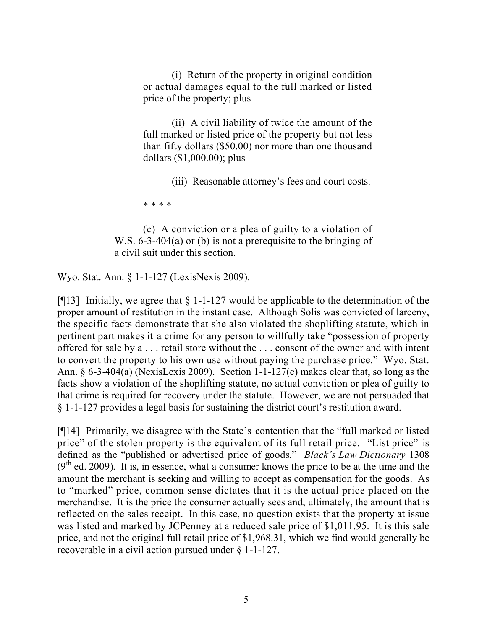(i) Return of the property in original condition or actual damages equal to the full marked or listed price of the property; plus

(ii) A civil liability of twice the amount of the full marked or listed price of the property but not less than fifty dollars (\$50.00) nor more than one thousand dollars (\$1,000.00); plus

(iii) Reasonable attorney's fees and court costs.

\* \* \* \*

(c) A conviction or a plea of guilty to a violation of W.S. 6-3-404(a) or (b) is not a prerequisite to the bringing of a civil suit under this section.

Wyo. Stat. Ann. § 1-1-127 (LexisNexis 2009).

[ $[13]$ ] Initially, we agree that  $\S$  1-1-127 would be applicable to the determination of the proper amount of restitution in the instant case. Although Solis was convicted of larceny, the specific facts demonstrate that she also violated the shoplifting statute, which in pertinent part makes it a crime for any person to willfully take "possession of property offered for sale by a . . . retail store without the . . . consent of the owner and with intent to convert the property to his own use without paying the purchase price." Wyo. Stat. Ann. § 6-3-404(a) (NexisLexis 2009). Section 1-1-127(c) makes clear that, so long as the facts show a violation of the shoplifting statute, no actual conviction or plea of guilty to that crime is required for recovery under the statute. However, we are not persuaded that § 1-1-127 provides a legal basis for sustaining the district court's restitution award.

[¶14] Primarily, we disagree with the State's contention that the "full marked or listed price" of the stolen property is the equivalent of its full retail price. "List price" is defined as the "published or advertised price of goods." *Black's Law Dictionary* 1308  $(9<sup>th</sup>$  ed. 2009). It is, in essence, what a consumer knows the price to be at the time and the amount the merchant is seeking and willing to accept as compensation for the goods. As to "marked" price, common sense dictates that it is the actual price placed on the merchandise. It is the price the consumer actually sees and, ultimately, the amount that is reflected on the sales receipt. In this case, no question exists that the property at issue was listed and marked by JCPenney at a reduced sale price of \$1,011.95. It is this sale price, and not the original full retail price of \$1,968.31, which we find would generally be recoverable in a civil action pursued under § 1-1-127.